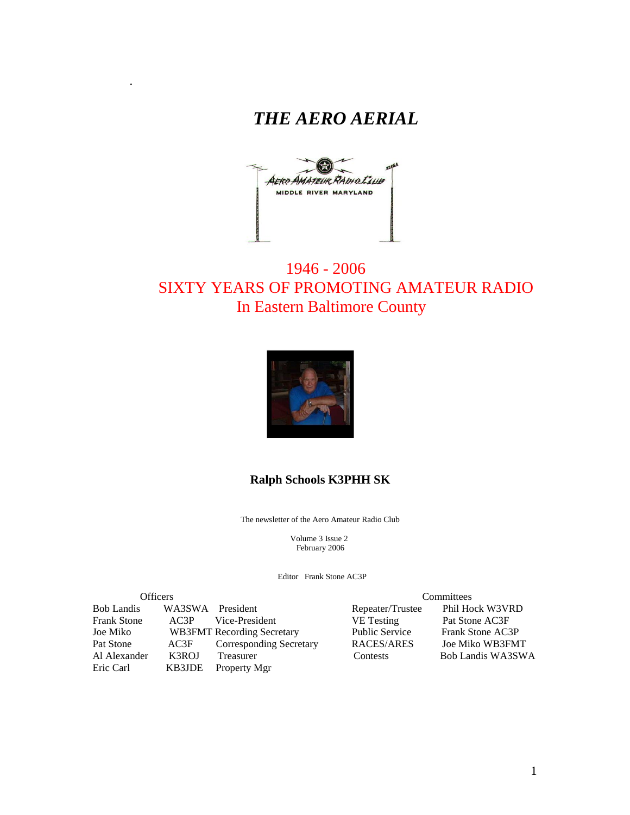

.



# 1946 - 2006 SIXTY YEARS OF PROMOTING AMATEUR RADIO In Eastern Baltimore County



#### **Ralph Schools K3PHH SK**

The newsletter of the Aero Amateur Radio Club

 Volume 3 Issue 2 February 2006

Editor Frank Stone AC3P

| <b>Officers</b>    |                  |                                   |                       | Committees        |  |  |
|--------------------|------------------|-----------------------------------|-----------------------|-------------------|--|--|
| <b>Bob Landis</b>  | WA3SWA President |                                   | Repeater/Trustee      | Phil Hock W3VRD   |  |  |
| <b>Frank Stone</b> | AC3P             | Vice-President                    | <b>VE</b> Testing     | Pat Stone AC3F    |  |  |
| Joe Miko           |                  | <b>WB3FMT</b> Recording Secretary | <b>Public Service</b> | Frank Stone AC3P  |  |  |
| Pat Stone          | AC3F             | <b>Corresponding Secretary</b>    | RACES/ARES            | Joe Miko WB3FMT   |  |  |
| Al Alexander       | K3ROJ            | Treasurer                         | Contests              | Bob Landis WA3SWA |  |  |
| Eric Carl          | KB3JDE           | Property Mgr                      |                       |                   |  |  |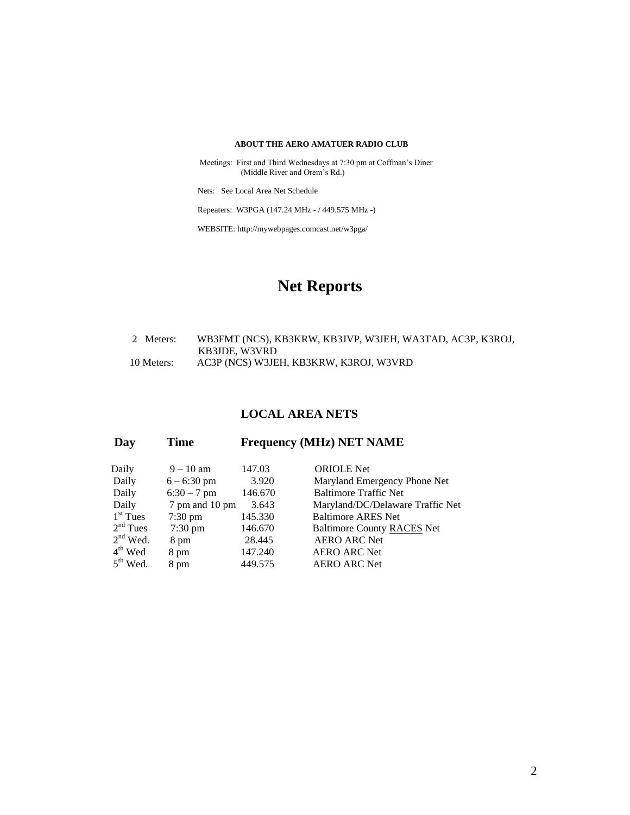#### **ABOUT THE AERO AMATUER RADIO CLUB**

 Meetings: First and Third Wednesdays at 7:30 pm at Coffman's Diner (Middle River and Orem's Rd.)

Nets: See Local Area Net Schedule

Repeaters: W3PGA (147.24 MHz - / 449.575 MHz -)

WEBSITE: http://mywebpages.comcast.net/w3pga/

# **Net Reports**

#### 2 Meters: WB3FMT (NCS), KB3KRW, KB3JVP, W3JEH, WA3TAD, AC3P, K3ROJ, KB3JDE, W3VRD<br>10 Meters: AC3P (NCS) W3JE AC3P (NCS) W3JEH, KB3KRW, K3ROJ, W3VRD

#### **LOCAL AREA NETS**

| Day | Time | <b>Frequency (MHz) NET NAME</b> |  |  |
|-----|------|---------------------------------|--|--|
|     |      |                                 |  |  |

| Daily      | $9 - 10$ am       | 147.03  | <b>ORIOLE</b> Net                 |
|------------|-------------------|---------|-----------------------------------|
| Daily      | $6 - 6:30$ pm     | 3.920   | Maryland Emergency Phone Net      |
| Daily      | $6:30 - 7$ pm     | 146.670 | <b>Baltimore Traffic Net</b>      |
| Daily      | 7 pm and 10 pm    | 3.643   | Maryland/DC/Delaware Traffic Net  |
| $1st$ Tues | $7:30 \text{ pm}$ | 145.330 | <b>Baltimore ARES Net</b>         |
| $2nd$ Tues | $7:30 \text{ pm}$ | 146.670 | <b>Baltimore County RACES Net</b> |
| $2nd$ Wed. | 8 pm              | 28.445  | <b>AERO ARC Net</b>               |
| $4th$ Wed  | 8 pm              | 147.240 | <b>AERO ARC Net</b>               |
| $5th$ Wed. | 8 pm              | 449.575 | <b>AERO ARC Net</b>               |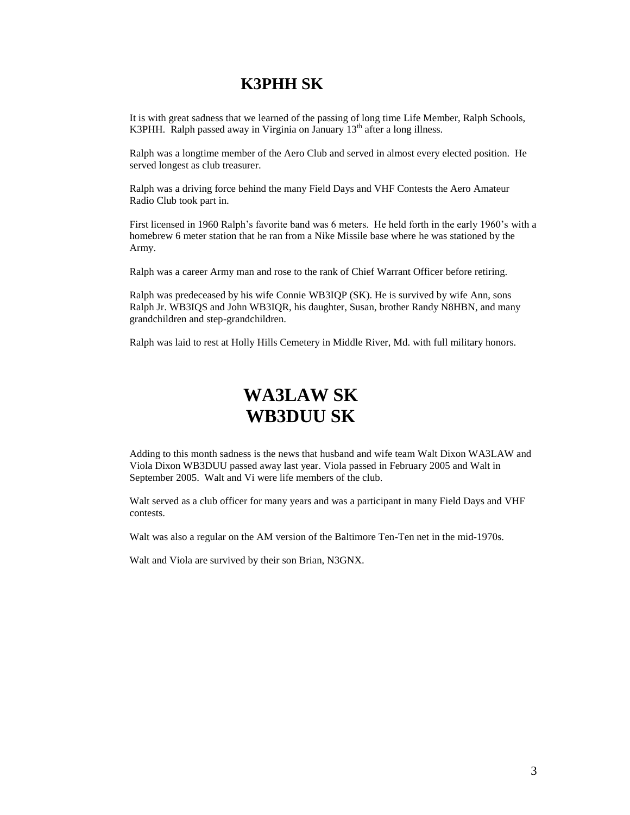# **K3PHH SK**

It is with great sadness that we learned of the passing of long time Life Member, Ralph Schools, K3PHH. Ralph passed away in Virginia on January  $13<sup>th</sup>$  after a long illness.

Ralph was a longtime member of the Aero Club and served in almost every elected position. He served longest as club treasurer.

Ralph was a driving force behind the many Field Days and VHF Contests the Aero Amateur Radio Club took part in.

First licensed in 1960 Ralph's favorite band was 6 meters. He held forth in the early 1960's with a homebrew 6 meter station that he ran from a Nike Missile base where he was stationed by the Army.

Ralph was a career Army man and rose to the rank of Chief Warrant Officer before retiring.

Ralph was predeceased by his wife Connie WB3IQP (SK). He is survived by wife Ann, sons Ralph Jr. WB3IQS and John WB3IQR, his daughter, Susan, brother Randy N8HBN, and many grandchildren and step-grandchildren.

Ralph was laid to rest at Holly Hills Cemetery in Middle River, Md. with full military honors.

# **WA3LAW SK WB3DUU SK**

Adding to this month sadness is the news that husband and wife team Walt Dixon WA3LAW and Viola Dixon WB3DUU passed away last year. Viola passed in February 2005 and Walt in September 2005. Walt and Vi were life members of the club.

Walt served as a club officer for many years and was a participant in many Field Days and VHF contests.

Walt was also a regular on the AM version of the Baltimore Ten-Ten net in the mid-1970s.

Walt and Viola are survived by their son Brian, N3GNX.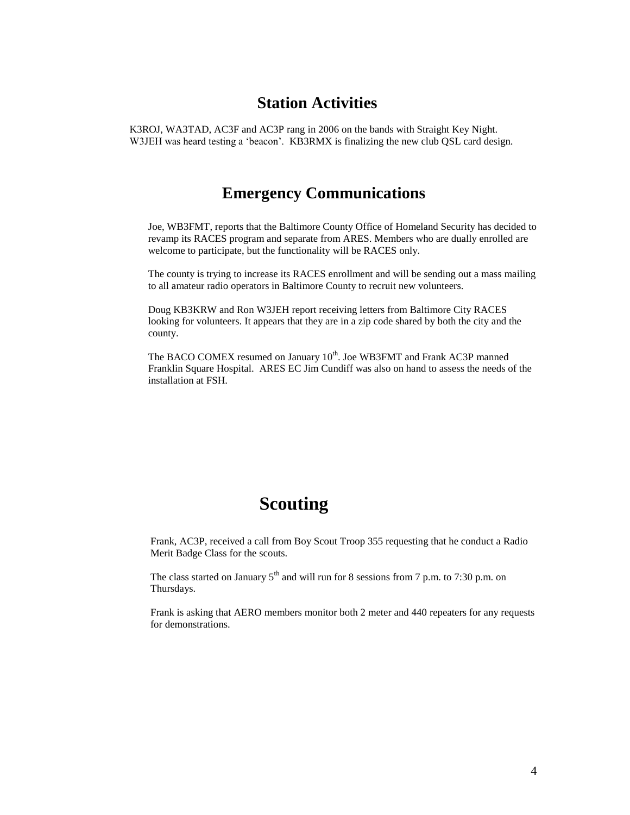### **Station Activities**

K3ROJ, WA3TAD, AC3F and AC3P rang in 2006 on the bands with Straight Key Night. W3JEH was heard testing a 'beacon'. KB3RMX is finalizing the new club QSL card design.

### **Emergency Communications**

Joe, WB3FMT, reports that the Baltimore County Office of Homeland Security has decided to revamp its RACES program and separate from ARES. Members who are dually enrolled are welcome to participate, but the functionality will be RACES only.

The county is trying to increase its RACES enrollment and will be sending out a mass mailing to all amateur radio operators in Baltimore County to recruit new volunteers.

Doug KB3KRW and Ron W3JEH report receiving letters from Baltimore City RACES looking for volunteers. It appears that they are in a zip code shared by both the city and the county.

The BACO COMEX resumed on January 10<sup>th</sup>. Joe WB3FMT and Frank AC3P manned Franklin Square Hospital. ARES EC Jim Cundiff was also on hand to assess the needs of the installation at FSH.

# **Scouting**

Frank, AC3P, received a call from Boy Scout Troop 355 requesting that he conduct a Radio Merit Badge Class for the scouts.

The class started on January  $5<sup>th</sup>$  and will run for 8 sessions from 7 p.m. to 7:30 p.m. on Thursdays.

Frank is asking that AERO members monitor both 2 meter and 440 repeaters for any requests for demonstrations.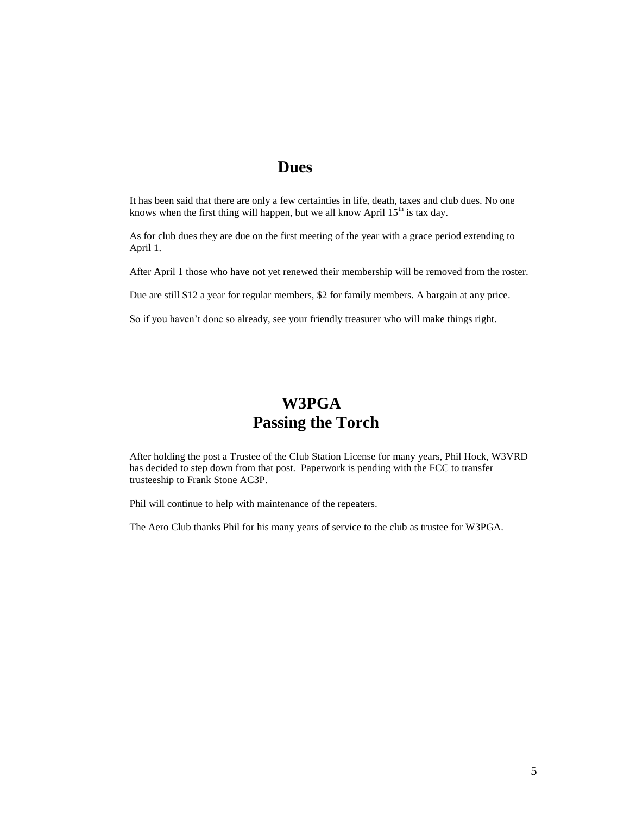# **Dues**

It has been said that there are only a few certainties in life, death, taxes and club dues. No one knows when the first thing will happen, but we all know April  $15<sup>th</sup>$  is tax day.

As for club dues they are due on the first meeting of the year with a grace period extending to April 1.

After April 1 those who have not yet renewed their membership will be removed from the roster.

Due are still \$12 a year for regular members, \$2 for family members. A bargain at any price.

So if you haven't done so already, see your friendly treasurer who will make things right.

# **W3PGA Passing the Torch**

After holding the post a Trustee of the Club Station License for many years, Phil Hock, W3VRD has decided to step down from that post. Paperwork is pending with the FCC to transfer trusteeship to Frank Stone AC3P.

Phil will continue to help with maintenance of the repeaters.

The Aero Club thanks Phil for his many years of service to the club as trustee for W3PGA.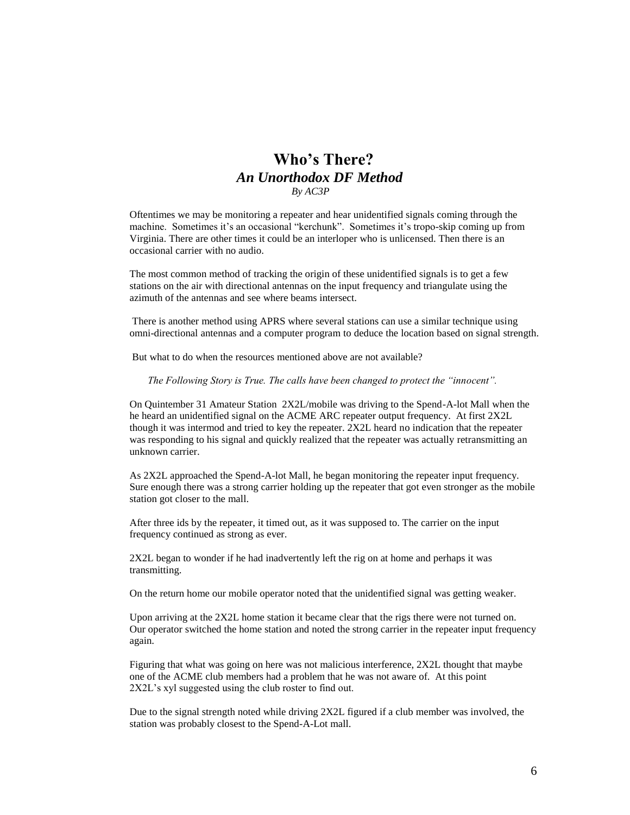#### **Who's There?** *An Unorthodox DF Method By AC3P*

Oftentimes we may be monitoring a repeater and hear unidentified signals coming through the machine. Sometimes it's an occasional "kerchunk". Sometimes it's tropo-skip coming up from Virginia. There are other times it could be an interloper who is unlicensed. Then there is an occasional carrier with no audio.

The most common method of tracking the origin of these unidentified signals is to get a few stations on the air with directional antennas on the input frequency and triangulate using the azimuth of the antennas and see where beams intersect.

There is another method using APRS where several stations can use a similar technique using omni-directional antennas and a computer program to deduce the location based on signal strength.

But what to do when the resources mentioned above are not available?

*The Following Story is True. The calls have been changed to protect the "innocent".*

On Quintember 31 Amateur Station 2X2L/mobile was driving to the Spend-A-lot Mall when the he heard an unidentified signal on the ACME ARC repeater output frequency. At first 2X2L though it was intermod and tried to key the repeater. 2X2L heard no indication that the repeater was responding to his signal and quickly realized that the repeater was actually retransmitting an unknown carrier.

As 2X2L approached the Spend-A-lot Mall, he began monitoring the repeater input frequency. Sure enough there was a strong carrier holding up the repeater that got even stronger as the mobile station got closer to the mall.

After three ids by the repeater, it timed out, as it was supposed to. The carrier on the input frequency continued as strong as ever.

2X2L began to wonder if he had inadvertently left the rig on at home and perhaps it was transmitting.

On the return home our mobile operator noted that the unidentified signal was getting weaker.

Upon arriving at the 2X2L home station it became clear that the rigs there were not turned on. Our operator switched the home station and noted the strong carrier in the repeater input frequency again.

Figuring that what was going on here was not malicious interference, 2X2L thought that maybe one of the ACME club members had a problem that he was not aware of. At this point 2X2L's xyl suggested using the club roster to find out.

Due to the signal strength noted while driving 2X2L figured if a club member was involved, the station was probably closest to the Spend-A-Lot mall.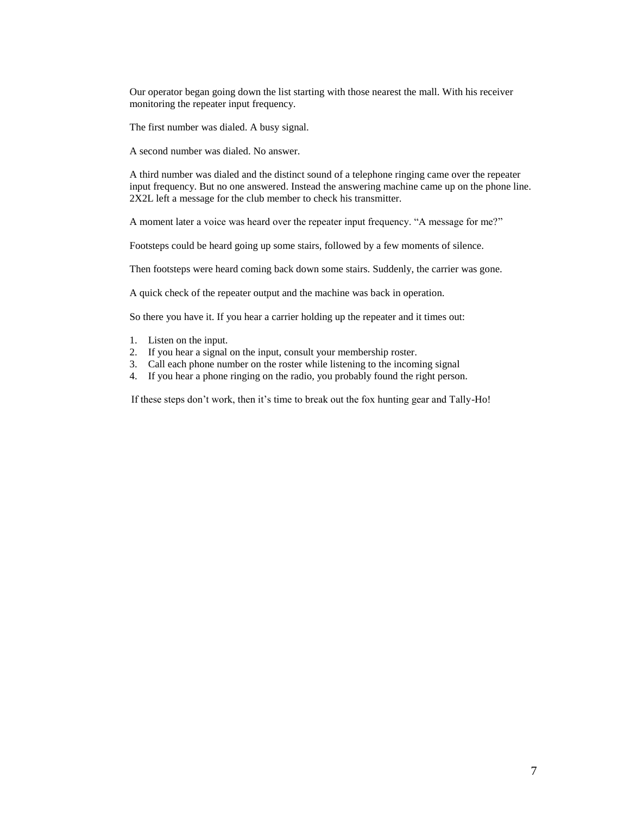Our operator began going down the list starting with those nearest the mall. With his receiver monitoring the repeater input frequency.

The first number was dialed. A busy signal.

A second number was dialed. No answer.

A third number was dialed and the distinct sound of a telephone ringing came over the repeater input frequency. But no one answered. Instead the answering machine came up on the phone line. 2X2L left a message for the club member to check his transmitter.

A moment later a voice was heard over the repeater input frequency. "A message for me?"

Footsteps could be heard going up some stairs, followed by a few moments of silence.

Then footsteps were heard coming back down some stairs. Suddenly, the carrier was gone.

A quick check of the repeater output and the machine was back in operation.

So there you have it. If you hear a carrier holding up the repeater and it times out:

- 1. Listen on the input.
- 2. If you hear a signal on the input, consult your membership roster.
- 3. Call each phone number on the roster while listening to the incoming signal
- 4. If you hear a phone ringing on the radio, you probably found the right person.

If these steps don't work, then it's time to break out the fox hunting gear and Tally-Ho!